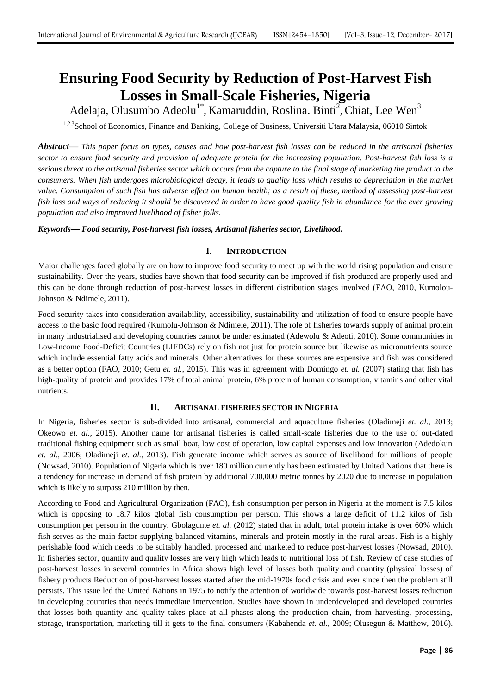# **Ensuring Food Security by Reduction of Post-Harvest Fish Losses in Small-Scale Fisheries, Nigeria**

Adelaja, Olusumbo Adeolu<sup>1\*</sup>, Kamaruddin, Roslina. Binti<sup>2</sup>, Chiat, Lee Wen<sup>3</sup>

<sup>1,2,3</sup>School of Economics, Finance and Banking, College of Business, Universiti Utara Malaysia, 06010 Sintok

*Abstract***—** *This paper focus on types, causes and how post-harvest fish losses can be reduced in the artisanal fisheries sector to ensure food security and provision of adequate protein for the increasing population. Post-harvest fish loss is a serious threat to the artisanal fisheries sector which occurs from the capture to the final stage of marketing the product to the consumers. When fish undergoes microbiological decay, it leads to quality loss which results to depreciation in the market value. Consumption of such fish has adverse effect on human health; as a result of these, method of assessing post-harvest fish loss and ways of reducing it should be discovered in order to have good quality fish in abundance for the ever growing population and also improved livelihood of fisher folks.*

*Keywords***—** *Food security, Post-harvest fish losses, Artisanal fisheries sector, Livelihood.*

# **I. INTRODUCTION**

Major challenges faced globally are on how to improve food security to meet up with the world rising population and ensure sustainability. Over the years, studies have shown that food security can be improved if fish produced are properly used and this can be done through reduction of post-harvest losses in different distribution stages involved (FAO, 2010, Kumolou-Johnson & Ndimele, 2011).

Food security takes into consideration availability, accessibility, sustainability and utilization of food to ensure people have access to the basic food required (Kumolu-Johnson & Ndimele, 2011). The role of fisheries towards supply of animal protein in many industrialised and developing countries cannot be under estimated (Adewolu & Adeoti, 2010). Some communities in Low-Income Food-Deficit Countries (LIFDCs) rely on fish not just for protein source but likewise as micronutrients source which include essential fatty acids and minerals. Other alternatives for these sources are expensive and fish was considered as a better option (FAO, 2010; Getu *et. al.,* 2015). This was in agreement with Domingo *et. al.* (2007) stating that fish has high-quality of protein and provides 17% of total animal protein, 6% protein of human consumption, vitamins and other vital nutrients.

# **II. ARTISANAL FISHERIES SECTOR IN NIGERIA**

In Nigeria, fisheries sector is sub-divided into artisanal, commercial and aquaculture fisheries (Oladimeji *et. al.,* 2013; Okeowo *et. al.,* 2015). Another name for artisanal fisheries is called small-scale fisheries due to the use of out-dated traditional fishing equipment such as small boat, low cost of operation, low capital expenses and low innovation (Adedokun *et. al.,* 2006; Oladimeji *et. al.,* 2013). Fish generate income which serves as source of livelihood for millions of people (Nowsad, 2010). Population of Nigeria which is over 180 million currently has been estimated by United Nations that there is a tendency for increase in demand of fish protein by additional 700,000 metric tonnes by 2020 due to increase in population which is likely to surpass 210 million by then.

According to Food and Agricultural Organization (FAO), fish consumption per person in Nigeria at the moment is 7.5 kilos which is opposing to 18.7 kilos global fish consumption per person. This shows a large deficit of 11.2 kilos of fish consumption per person in the country. Gbolagunte *et. al.* (2012) stated that in adult, total protein intake is over 60% which fish serves as the main factor supplying balanced vitamins, minerals and protein mostly in the rural areas. Fish is a highly perishable food which needs to be suitably handled, processed and marketed to reduce post-harvest losses (Nowsad, 2010). In fisheries sector, quantity and quality losses are very high which leads to nutritional loss of fish. Review of case studies of post-harvest losses in several countries in Africa shows high level of losses both quality and quantity (physical losses) of fishery products Reduction of post-harvest losses started after the mid-1970s food crisis and ever since then the problem still persists. This issue led the United Nations in 1975 to notify the attention of worldwide towards post-harvest losses reduction in developing countries that needs immediate intervention. Studies have shown in underdeveloped and developed countries that losses both quantity and quality takes place at all phases along the production chain, from harvesting, processing, storage, transportation, marketing till it gets to the final consumers (Kabahenda *et. al*., 2009; Olusegun & Matthew, 2016).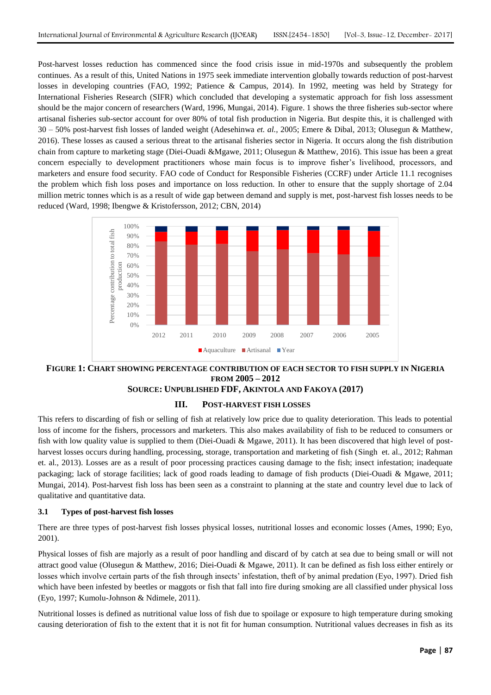Post-harvest losses reduction has commenced since the food crisis issue in mid-1970s and subsequently the problem continues. As a result of this, United Nations in 1975 seek immediate intervention globally towards reduction of post-harvest losses in developing countries (FAO, 1992; Patience & Campus, 2014). In 1992, meeting was held by Strategy for International Fisheries Research (SIFR) which concluded that developing a systematic approach for fish loss assessment should be the major concern of researchers (Ward, 1996, Mungai, 2014). Figure. 1 shows the three fisheries sub-sector where artisanal fisheries sub-sector account for over 80% of total fish production in Nigeria. But despite this, it is challenged with 30 – 50% post-harvest fish losses of landed weight (Adesehinwa *et. al.,* 2005; Emere & Dibal, 2013; Olusegun & Matthew, 2016). These losses as caused a serious threat to the artisanal fisheries sector in Nigeria. It occurs along the fish distribution chain from capture to marketing stage (Diei-Ouadi &Mgawe, 2011; Olusegun & Matthew, 2016). This issue has been a great concern especially to development practitioners whose main focus is to improve fisher's livelihood, processors, and marketers and ensure food security. FAO code of Conduct for Responsible Fisheries (CCRF) under Article 11.1 recognises the problem which fish loss poses and importance on loss reduction. In other to ensure that the supply shortage of 2.04 million metric tonnes which is as a result of wide gap between demand and supply is met, post-harvest fish losses needs to be reduced (Ward, 1998; Ibengwe & Kristofersson, 2012; CBN, 2014)



# **FIGURE 1: CHART SHOWING PERCENTAGE CONTRIBUTION OF EACH SECTOR TO FISH SUPPLY IN NIGERIA FROM 2005 – 2012 SOURCE: UNPUBLISHED FDF, AKINTOLA AND FAKOYA (2017)**

# **III. POST-HARVEST FISH LOSSES**

This refers to discarding of fish or selling of fish at relatively low price due to quality deterioration. This leads to potential loss of income for the fishers, processors and marketers. This also makes availability of fish to be reduced to consumers or fish with low quality value is supplied to them (Diei-Ouadi & Mgawe, 2011). It has been discovered that high level of postharvest losses occurs during handling, processing, storage, transportation and marketing of fish (Singh et. al., 2012; Rahman et. al., 2013). Losses are as a result of poor processing practices causing damage to the fish; insect infestation; inadequate packaging; lack of storage facilities; lack of good roads leading to damage of fish products (Diei-Ouadi & Mgawe, 2011; Mungai, 2014). Post-harvest fish loss has been seen as a constraint to planning at the state and country level due to lack of qualitative and quantitative data.

#### **3.1 Types of post-harvest fish losses**

There are three types of post-harvest fish losses physical losses, nutritional losses and economic losses (Ames, 1990; Eyo, 2001).

Physical losses of fish are majorly as a result of poor handling and discard of by catch at sea due to being small or will not attract good value (Olusegun & Matthew, 2016; Diei-Ouadi & Mgawe, 2011). It can be defined as fish loss either entirely or losses which involve certain parts of the fish through insects' infestation, theft of by animal predation (Eyo, 1997). Dried fish which have been infested by beetles or maggots or fish that fall into fire during smoking are all classified under physical loss (Eyo, 1997; Kumolu-Johnson & Ndimele, 2011).

Nutritional losses is defined as nutritional value loss of fish due to spoilage or exposure to high temperature during smoking causing deterioration of fish to the extent that it is not fit for human consumption. Nutritional values decreases in fish as its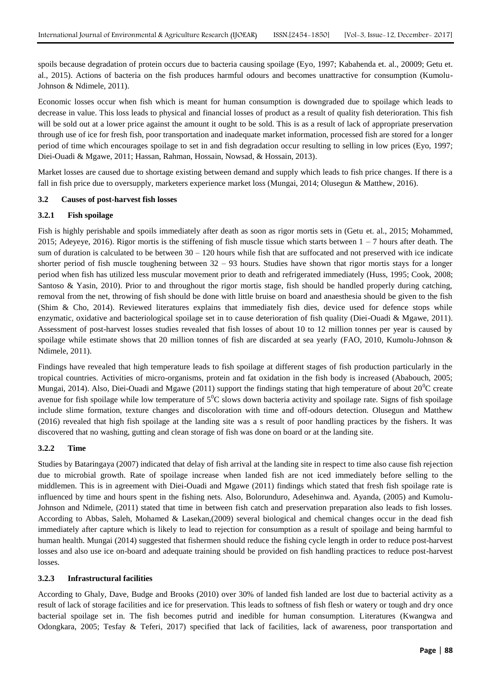spoils because degradation of protein occurs due to bacteria causing spoilage (Eyo, 1997; Kabahenda et. al., 20009; Getu et. al., 2015). Actions of bacteria on the fish produces harmful odours and becomes unattractive for consumption (Kumolu-Johnson & Ndimele, 2011).

Economic losses occur when fish which is meant for human consumption is downgraded due to spoilage which leads to decrease in value. This loss leads to physical and financial losses of product as a result of quality fish deterioration. This fish will be sold out at a lower price against the amount it ought to be sold. This is as a result of lack of appropriate preservation through use of ice for fresh fish, poor transportation and inadequate market information, processed fish are stored for a longer period of time which encourages spoilage to set in and fish degradation occur resulting to selling in low prices (Eyo, 1997; Diei-Ouadi & Mgawe, 2011; Hassan, Rahman, Hossain, Nowsad, & Hossain, 2013).

Market losses are caused due to shortage existing between demand and supply which leads to fish price changes. If there is a fall in fish price due to oversupply, marketers experience market loss (Mungai, 2014; Olusegun & Matthew, 2016).

# **3.2 Causes of post-harvest fish losses**

# **3.2.1 Fish spoilage**

Fish is highly perishable and spoils immediately after death as soon as rigor mortis sets in (Getu et. al., 2015; Mohammed, 2015; Adeyeye, 2016). Rigor mortis is the stiffening of fish muscle tissue which starts between  $1 - 7$  hours after death. The sum of duration is calculated to be between  $30 - 120$  hours while fish that are suffocated and not preserved with ice indicate shorter period of fish muscle toughening between 32 – 93 hours. Studies have shown that rigor mortis stays for a longer period when fish has utilized less muscular movement prior to death and refrigerated immediately (Huss, 1995; Cook, 2008; Santoso & Yasin, 2010). Prior to and throughout the rigor mortis stage, fish should be handled properly during catching, removal from the net, throwing of fish should be done with little bruise on board and anaesthesia should be given to the fish (Shim & Cho, 2014). Reviewed literatures explains that immediately fish dies, device used for defence stops while enzymatic, oxidative and bacteriological spoilage set in to cause deterioration of fish quality (Diei-Ouadi & Mgawe, 2011). Assessment of post-harvest losses studies revealed that fish losses of about 10 to 12 million tonnes per year is caused by spoilage while estimate shows that 20 million tonnes of fish are discarded at sea yearly (FAO, 2010, Kumolu-Johnson & Ndimele, 2011).

Findings have revealed that high temperature leads to fish spoilage at different stages of fish production particularly in the tropical countries. Activities of micro-organisms, protein and fat oxidation in the fish body is increased (Ababouch, 2005; Mungai, 2014). Also, Diei-Ouadi and Mgawe (2011) support the findings stating that high temperature of about  $20^{\circ}$ C create avenue for fish spoilage while low temperature of  $5^{\circ}$ C slows down bacteria activity and spoilage rate. Signs of fish spoilage include slime formation, texture changes and discoloration with time and off-odours detection. Olusegun and Matthew (2016) revealed that high fish spoilage at the landing site was a s result of poor handling practices by the fishers. It was discovered that no washing, gutting and clean storage of fish was done on board or at the landing site.

#### **3.2.2 Time**

Studies by Bataringaya (2007) indicated that delay of fish arrival at the landing site in respect to time also cause fish rejection due to microbial growth. Rate of spoilage increase when landed fish are not iced immediately before selling to the middlemen. This is in agreement with Diei-Ouadi and Mgawe (2011) findings which stated that fresh fish spoilage rate is influenced by time and hours spent in the fishing nets. Also, Bolorunduro, Adesehinwa and. Ayanda, (2005) and Kumolu-Johnson and Ndimele, (2011) stated that time in between fish catch and preservation preparation also leads to fish losses. According to Abbas, Saleh, Mohamed & Lasekan,(2009) several biological and chemical changes occur in the dead fish immediately after capture which is likely to lead to rejection for consumption as a result of spoilage and being harmful to human health. Mungai (2014) suggested that fishermen should reduce the fishing cycle length in order to reduce post-harvest losses and also use ice on-board and adequate training should be provided on fish handling practices to reduce post-harvest losses.

#### **3.2.3 Infrastructural facilities**

According to Ghaly, Dave, Budge and Brooks (2010) over 30% of landed fish landed are lost due to bacterial activity as a result of lack of storage facilities and ice for preservation. This leads to softness of fish flesh or watery or tough and dry once bacterial spoilage set in. The fish becomes putrid and inedible for human consumption. Literatures (Kwangwa and Odongkara, 2005; Tesfay & Teferi, 2017) specified that lack of facilities, lack of awareness, poor transportation and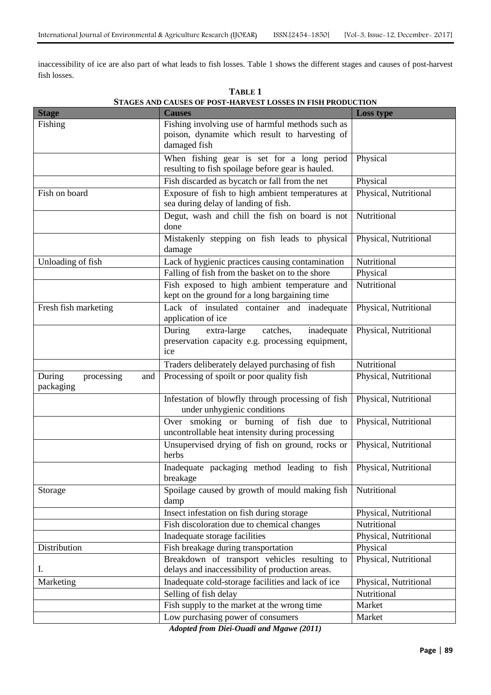inaccessibility of ice are also part of what leads to fish losses. Table 1 shows the different stages and causes of post-harvest fish losses.

|                             | STAGES AND CAUSES OF POST-HARVEST LOSSES IN FISH PRODUCTION |                       |
|-----------------------------|-------------------------------------------------------------|-----------------------|
| <b>Stage</b>                | <b>Causes</b>                                               | <b>Loss type</b>      |
| Fishing                     | Fishing involving use of harmful methods such as            |                       |
|                             | poison, dynamite which result to harvesting of              |                       |
|                             | damaged fish                                                |                       |
|                             | When fishing gear is set for a long period                  | Physical              |
|                             | resulting to fish spoilage before gear is hauled.           |                       |
|                             | Fish discarded as bycatch or fall from the net              | Physical              |
| Fish on board               | Exposure of fish to high ambient temperatures at            | Physical, Nutritional |
|                             | sea during delay of landing of fish.                        |                       |
|                             | Degut, wash and chill the fish on board is not              | Nutritional           |
|                             | done                                                        |                       |
|                             | Mistakenly stepping on fish leads to physical               | Physical, Nutritional |
|                             | damage                                                      |                       |
| Unloading of fish           | Lack of hygienic practices causing contamination            | Nutritional           |
|                             | Falling of fish from the basket on to the shore             | Physical              |
|                             | Fish exposed to high ambient temperature and                | Nutritional           |
|                             | kept on the ground for a long bargaining time               |                       |
| Fresh fish marketing        | Lack of insulated container and inadequate                  | Physical, Nutritional |
|                             | application of ice                                          |                       |
|                             | During<br>extra-large<br>catches,<br>inadequate             | Physical, Nutritional |
|                             | preservation capacity e.g. processing equipment,            |                       |
|                             | ice                                                         |                       |
|                             | Traders deliberately delayed purchasing of fish             | Nutritional           |
| During<br>processing<br>and | Processing of spoilt or poor quality fish                   | Physical, Nutritional |
| packaging                   |                                                             |                       |
|                             | Infestation of blowfly through processing of fish           | Physical, Nutritional |
|                             | under unhygienic conditions                                 |                       |
|                             | Over smoking or burning of fish due to                      | Physical, Nutritional |
|                             | uncontrollable heat intensity during processing             |                       |
|                             | Unsupervised drying of fish on ground, rocks or             | Physical, Nutritional |
|                             | herbs                                                       |                       |
|                             | Inadequate packaging method leading to fish                 | Physical, Nutritional |
|                             | breakage                                                    |                       |
| Storage                     | Spoilage caused by growth of mould making fish              | Nutritional           |
|                             | damp                                                        |                       |
|                             | Insect infestation on fish during storage                   | Physical, Nutritional |
|                             | Fish discoloration due to chemical changes                  | Nutritional           |
|                             | Inadequate storage facilities                               | Physical, Nutritional |
| Distribution                | Fish breakage during transportation                         | Physical              |
|                             | Breakdown of transport vehicles resulting to                | Physical, Nutritional |
| Ι.                          | delays and inaccessibility of production areas.             |                       |
| Marketing                   | Inadequate cold-storage facilities and lack of ice          | Physical, Nutritional |
|                             | Selling of fish delay                                       | Nutritional           |
|                             | Fish supply to the market at the wrong time                 | Market                |
|                             | Low purchasing power of consumers<br>$\overline{p \cdot q}$ | Market                |
|                             |                                                             |                       |

**TABLE 1 STAGES AND CAUSES OF POST-HARVEST LOSSES IN FISH PRODUCTION**

*Adopted from Diei-Ouadi and Mgawe (2011)*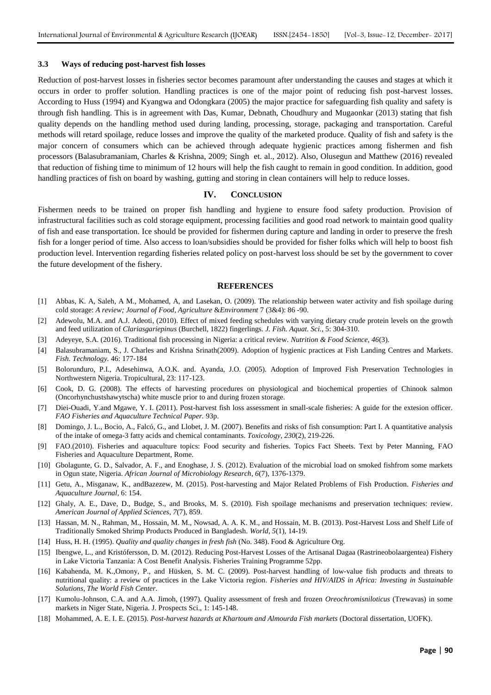#### **3.3 Ways of reducing post-harvest fish losses**

Reduction of post-harvest losses in fisheries sector becomes paramount after understanding the causes and stages at which it occurs in order to proffer solution. Handling practices is one of the major point of reducing fish post-harvest losses. According to Huss (1994) and Kyangwa and Odongkara (2005) the major practice for safeguarding fish quality and safety is through fish handling. This is in agreement with Das, Kumar, Debnath, Choudhury and Mugaonkar (2013) stating that fish quality depends on the handling method used during landing, processing, storage, packaging and transportation. Careful methods will retard spoilage, reduce losses and improve the quality of the marketed produce. Quality of fish and safety is the major concern of consumers which can be achieved through adequate hygienic practices among fishermen and fish processors (Balasubramaniam, Charles & Krishna, 2009; Singh et. al., 2012). Also, Olusegun and Matthew (2016) revealed that reduction of fishing time to minimum of 12 hours will help the fish caught to remain in good condition. In addition, good handling practices of fish on board by washing, gutting and storing in clean containers will help to reduce losses.

#### **IV. CONCLUSION**

Fishermen needs to be trained on proper fish handling and hygiene to ensure food safety production. Provision of infrastructural facilities such as cold storage equipment, processing facilities and good road network to maintain good quality of fish and ease transportation. Ice should be provided for fishermen during capture and landing in order to preserve the fresh fish for a longer period of time. Also access to loan/subsidies should be provided for fisher folks which will help to boost fish production level. Intervention regarding fisheries related policy on post-harvest loss should be set by the government to cover the future development of the fishery.

#### **REFERENCES**

- [1] Abbas, K. A, Saleh, A M., Mohamed, A, and Lasekan, O. (2009). The relationship between water activity and fish spoilage during cold storage: *A review; Journal of Food, Agriculture* &*Environment* 7 (3&4): 86 -90.
- [2] Adewolu, M.A. and A.J. Adeoti, (2010). Effect of mixed feeding schedules with varying dietary crude protein levels on the growth and feed utilization of *Clariasgariepinus* (Burchell, 1822) fingerlings*. J. Fish. Aquat. Sci.,* 5: 304-310.
- [3] Adeyeye, S.A. (2016). Traditional fish processing in Nigeria: a critical review. *Nutrition & Food Science*, *46*(3).
- [4] Balasubramaniam, S., J. Charles and Krishna Srinath(2009). Adoption of hygienic practices at Fish Landing Centres and Markets. *Fish. Technology.* 46: 177-184
- [5] Bolorunduro, P.I., Adesehinwa, A.O.K. and. Ayanda, J.O. (2005). Adoption of Improved Fish Preservation Technologies in Northwestern Nigeria. Tropicultural, 23: 117-123.
- [6] Cook, D. G. (2008). The effects of harvesting procedures on physiological and biochemical properties of Chinook salmon (Oncorhynchustshawytscha) white muscle prior to and during frozen storage.
- [7] Diei-Ouadi, Y.and Mgawe, Y. I. (2011). Post-harvest fish loss assessment in small-scale fisheries: A guide for the extesion officer. *FAO Fisheries and Aquaculture Technical Paper.* 93p.
- [8] Domingo, J. L., Bocio, A., Falcó, G., and Llobet, J. M. (2007). Benefits and risks of fish consumption: Part I. A quantitative analysis of the intake of omega-3 fatty acids and chemical contaminants. *Toxicology*, *230*(2), 219-226.
- [9] FAO.(2010). Fisheries and aquaculture topics: Food security and fisheries. Topics Fact Sheets. Text by Peter Manning, FAO Fisheries and Aquaculture Department, Rome.
- [10] Gbolagunte, G. D., Salvador, A. F., and Enoghase, J. S. (2012). Evaluation of the microbial load on smoked fishfrom some markets in Ogun state, Nigeria. *African Journal of Microbiology Research*, *6*(7), 1376-1379.
- [11] Getu, A., Misganaw, K., andBazezew, M. (2015). Post-harvesting and Major Related Problems of Fish Production. *Fisheries and Aquaculture Journal*, 6: 154.
- [12] Ghaly, A. E., Dave, D., Budge, S., and Brooks, M. S. (2010). Fish spoilage mechanisms and preservation techniques: review. *American Journal of Applied Sciences*, *7*(7), 859.
- [13] Hassan, M. N., Rahman, M., Hossain, M. M., Nowsad, A. A. K. M., and Hossain, M. B. (2013). Post-Harvest Loss and Shelf Life of Traditionally Smoked Shrimp Products Produced in Bangladesh. *World*, *5*(1), 14-19.
- [14] Huss, H. H. (1995). *Quality and quality changes in fresh fish* (No. 348). Food & Agriculture Org.
- [15] Ibengwe, L., and Kristófersson, D. M. (2012). Reducing Post-Harvest Losses of the Artisanal Dagaa (Rastrineobolaargentea) Fishery in Lake Victoria Tanzania: A Cost Benefit Analysis. Fisheries Training Programme 52pp.
- [16] Kabahenda, M. K.,Omony, P., and Hüsken, S. M. C. (2009). Post-harvest handling of low-value fish products and threats to nutritional quality: a review of practices in the Lake Victoria region. *Fisheries and HIV/AIDS in Africa: Investing in Sustainable Solutions, The World Fish Center*.
- [17] Kumolu-Johnson, C.A. and A.A. Jimoh, (1997). Quality assessment of fresh and frozen *Oreochromisniloticus* (Trewavas) in some markets in Niger State, Nigeria. J. Prospects Sci., 1: 145-148.
- [18] Mohammed, A. E. I. E. (2015). *Post-harvest hazards at Khartoum and Almourda Fish markets* (Doctoral dissertation, UOFK).